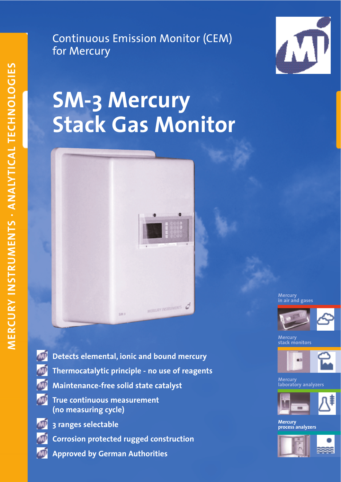Continuous Emission Monitor (CEM) for Mercury



# **SM-3 Mercury Stack Gas Monitor**



**Mercury in air and gases** 



**Mercury stack monitors**



**Mercury laboratory analyzers**



**Mercury process analyzers**



**Detects elemental, ionic and bound mercury Thermocatalytic principle - no use of reagents Maintenance-free solid state catalyst True continuous measurement** ÆD **(no measuring cycle)**

**3 ranges selectable Corrosion protected rugged construction Approved by German Authorities**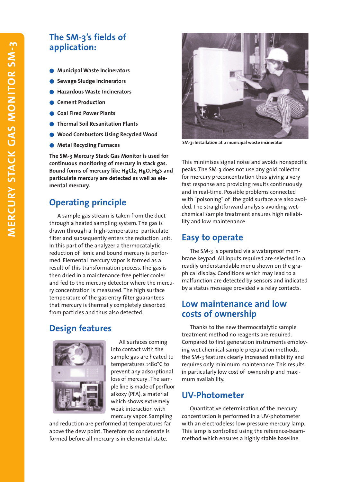# **The SM-3's fields of application:**

- **Municipal Waste Incinerators**
- **Sewage Sludge Incinerators**
- **Hazardous Waste Incinerators**
- **Cement Production**
- **Coal Fired Power Plants**
- **Thermal Soil Resanitation Plants**
- **Wood Combustors Using Recycled Wood**
- **Metal Recycling Furnaces**

**The SM-3 Mercury Stack Gas Monitor is used for continuous monitoring of mercury in stack gas. Bound forms of mercury like HgCl2, HgO, HgS and particulate mercury are detected as well as elemental mercury.**

# **Operating principle**

A sample gas stream is taken from the duct through a heated sampling system. The gas is drawn through a high-temperature particulate filter and subsequently enters the reduction unit. In this part of the analyzer a thermocatalytic reduction of ionic and bound mercury is performed. Elemental mercury vapor is formed as a result of this transformation process. The gas is then dried in a maintenance-free peltier cooler and fed to the mercury detector where the mercury concentration is measured. The high surface temperature of the gas entry filter guarantees that mercury is thermally completely desorbed from particles and thus also detected.

### **Design features**



All surfaces coming into contact with the sample gas are heated to temperatures >180°C to prevent any adsorptional loss of mercury . The sample line is made of perfluor alkoxy (PFA), a material which shows extremely weak interaction with mercury vapor. Sampling

and reduction are performed at temperatures far above the dew point. Therefore no condensate is formed before all mercury is in elemental state.



**SM-3: Installation at a municipal waste incinerator**

This minimises signal noise and avoids nonspecific peaks. The SM-3 does not use any gold collector for mercury preconcentration thus giving a very fast response and providing results continuously and in real-time. Possible problems connected with "poisoning" of the gold surface are also avoided. The straightforward analysis avoiding wetchemical sample treatment ensures high reliability and low maintenance.

#### **Easy to operate**

The SM-3 is operated via a waterproof membrane keypad. All inputs required are selected in a readily understandable menu shown on the graphical display. Conditions which may lead to a malfunction are detected by sensors and indicated by a status message provided via relay contacts.

#### **Low maintenance and low costs of ownership**

Thanks to the new thermocatalytic sample treatment method no reagents are required. Compared to first generation instruments employing wet chemical sample preparation methods, the SM-3 features clearly increased reliability and requires only minimum maintenance. This results in particularly low cost of ownership and maximum availability.

### **UV-Photometer**

Quantitative determination of the mercury concentration is performed in a UV-photometer with an electrodeless low-pressure mercury lamp. This lamp is controlled using the reference-beammethod which ensures a highly stable baseline.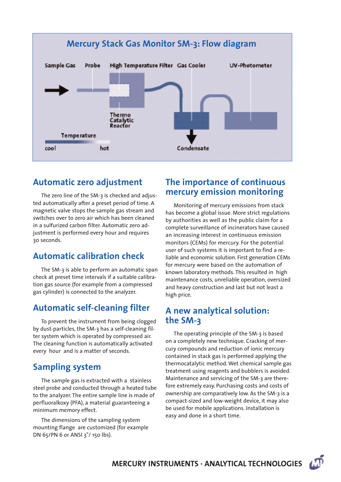

# **Automatic zero adjustment**

The zero line of the SM-3 is checked and adjusted automatically after a preset period of time. A magnetic valve stops the sample gas stream and switches over to zero air which has been cleaned in a sulfurized carbon filter. Automatic zero adjustment is performed every hour and requires 30 seconds.

# **Automatic calibration check**

The SM-3 is able to perform an automatic span check at preset time intervals if a suitable calibration gas source (for example from a compressed gas cylinder) is connected to the analyzer.

# **Automatic self-cleaning filter**

To prevent the instrument from being clogged by dust-particles, the SM-3 has a self-cleaning filter system which is operated by compressed air. The cleaning function is automatically activated every hour and is a matter of seconds.

# **Sampling system**

The sample gas is extracted with a stainless steel probe and conducted through a heated tube to the analyzer. The entire sample line is made of perfluoralkoxy (PFA), a material guaranteeing a minimum memory effect.

The dimensions of the sampling system mounting flange are customized (for example DN 65/PN 6 or ANSI 3"/ 150 lbs).

# **The importance of continuous mercury emission monitoring**

Monitoring of mercury emissions from stack has become a global issue. More strict regulations by authorities as well as the public claim for a complete surveillance of incinerators have caused an increasing interest in continuous emission monitors (CEMs) for mercury. For the potential user of such systems it is important to find a reliable and economic solution. First generation CEMs for mercury were based on the automation of known laboratory methods. This resulted in high maintenance costs, unreliable operation, oversized and heavy construction and last but not least a high price.

# **A new analytical solution: the SM-3**

The operating principle of the SM-3 is based on a completely new technique. Cracking of mercury compounds and reduction of ionic mercury contained in stack gas is performed applying the thermocatalytic method. Wet chemical sample gas treatment using reagents and bubblers is avoided. Maintenance and servicing of the SM-3 are therefore extremely easy. Purchasing costs and costs of ownership are comparatively low. As the SM-3 is a compact-sized and low-weight device, it may also be used for mobile applications. Installation is easy and done in a short time.